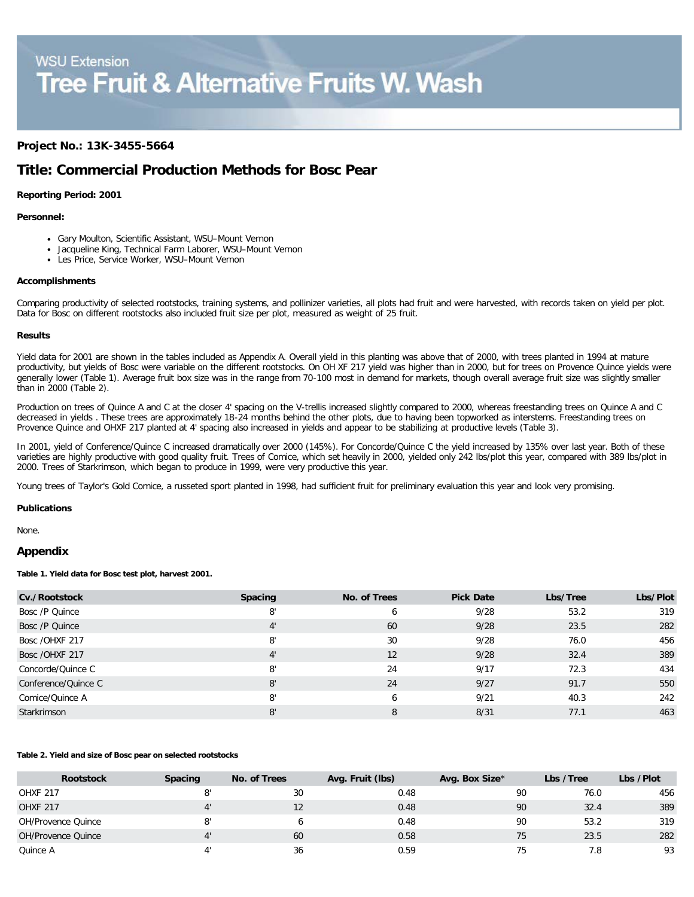# **WSU Extension Tree Fruit & Alternative Fruits W. Wash**

## **Project No.: 13K-3455-5664**

# **Title: Commercial Production Methods for Bosc Pear**

#### **Reporting Period: 2001**

#### **Personnel:**

- Gary Moulton, Scientific Assistant, WSU–Mount Vernon
- Jacqueline King, Technical Farm Laborer, WSU–Mount Vernon
- Les Price, Service Worker, WSU–Mount Vernon

#### **Accomplishments**

Comparing productivity of selected rootstocks, training systems, and pollinizer varieties, all plots had fruit and were harvested, with records taken on yield per plot. Data for Bosc on different rootstocks also included fruit size per plot, measured as weight of 25 fruit.

#### **Results**

Yield data for 2001 are shown in the tables included as Appendix A. Overall yield in this planting was above that of 2000, with trees planted in 1994 at mature productivity, but yields of Bosc were variable on the different rootstocks. On OH XF 217 yield was higher than in 2000, but for trees on Provence Quince yields were generally lower (Table 1). Average fruit box size was in the range from 70-100 most in demand for markets, though overall average fruit size was slightly smaller than in 2000 (Table 2).

Production on trees of Quince A and C at the closer 4' spacing on the V-trellis increased slightly compared to 2000, whereas freestanding trees on Quince A and C decreased in yields . These trees are approximately 18-24 months behind the other plots, due to having been topworked as interstems. Freestanding trees on Provence Quince and OHXF 217 planted at 4' spacing also increased in yields and appear to be stabilizing at productive levels (Table 3).

In 2001, yield of Conference/Quince C increased dramatically over 2000 (145%). For Concorde/Quince C the yield increased by 135% over last year. Both of these varieties are highly productive with good quality fruit. Trees of Comice, which set heavily in 2000, yielded only 242 lbs/plot this year, compared with 389 lbs/plot in 2000. Trees of Starkrimson, which began to produce in 1999, were very productive this year.

Young trees of Taylor's Gold Comice, a russeted sport planted in 1998, had sufficient fruit for preliminary evaluation this year and look very promising.

#### **Publications**

None.

#### **Appendix**

**Table 1. Yield data for Bosc test plot, harvest 2001.**

| Cv./Rootstock       | <b>Spacing</b> | No. of Trees | <b>Pick Date</b> | Lbs/Tree | Lbs/Plot |
|---------------------|----------------|--------------|------------------|----------|----------|
| Bosc /P Quince      | 8'             | 6            | 9/28             | 53.2     | 319      |
| Bosc /P Quince      | $4^{\prime}$   | 60           | 9/28             | 23.5     | 282      |
| Bosc /OHXF 217      | 8'             | 30           | 9/28             | 76.0     | 456      |
| Bosc / OHXF 217     | $4^{\prime}$   | 12           | 9/28             | 32.4     | 389      |
| Concorde/Quince C   | 8'             | 24           | 9/17             | 72.3     | 434      |
| Conference/Quince C | 8'             | 24           | 9/27             | 91.7     | 550      |
| Comice/Quince A     | 8'             | 6            | 9/21             | 40.3     | 242      |
| Starkrimson         | 8'             | 8            | 8/31             | 77.1     | 463      |

#### **Table 2. Yield and size of Bosc pear on selected rootstocks**

| <b>Rootstock</b>   | <b>Spacing</b> | No. of Trees | Avg. Fruit (lbs) | Avg. Box Size* | Lbs /Tree | Lbs /Plot |
|--------------------|----------------|--------------|------------------|----------------|-----------|-----------|
| <b>OHXF 217</b>    |                | 30           | 0.48             | 90             | 76.0      | 456       |
| <b>OHXF 217</b>    |                |              | 0.48             | 90             | 32.4      | 389       |
| OH/Provence Quince |                |              | 0.48             | 90             | 53.2      | 319       |
| OH/Provence Quince |                | 60           | 0.58             | 75             | 23.5      | 282       |
| Quince A           |                | 36           | 0.59             |                | 7.8       | 93        |